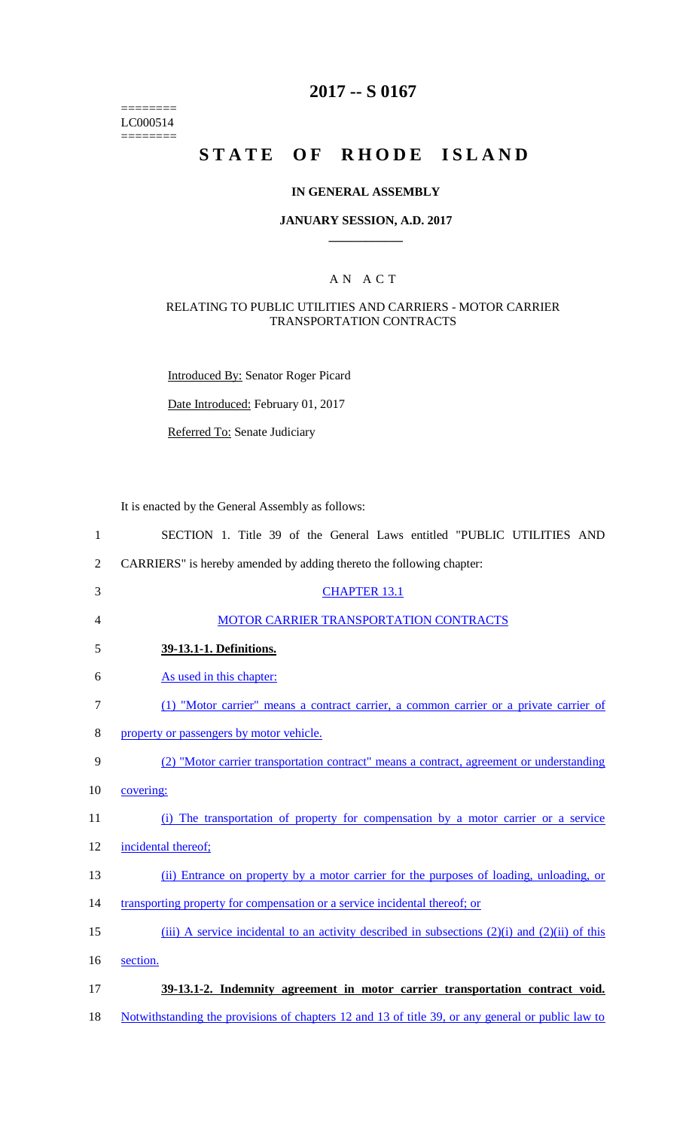======== LC000514  $=$ 

## **2017 -- S 0167**

# STATE OF RHODE ISLAND

#### **IN GENERAL ASSEMBLY**

#### **JANUARY SESSION, A.D. 2017 \_\_\_\_\_\_\_\_\_\_\_\_**

### A N A C T

#### RELATING TO PUBLIC UTILITIES AND CARRIERS - MOTOR CARRIER TRANSPORTATION CONTRACTS

Introduced By: Senator Roger Picard

Date Introduced: February 01, 2017

Referred To: Senate Judiciary

It is enacted by the General Assembly as follows:

| $\mathbf{1}$   | SECTION 1. Title 39 of the General Laws entitled "PUBLIC UTILITIES AND                                   |
|----------------|----------------------------------------------------------------------------------------------------------|
| $\overline{2}$ | CARRIERS" is hereby amended by adding thereto the following chapter:                                     |
| 3              | <b>CHAPTER 13.1</b>                                                                                      |
| 4              | MOTOR CARRIER TRANSPORTATION CONTRACTS                                                                   |
| 5              | 39-13.1-1. Definitions.                                                                                  |
| 6              | As used in this chapter:                                                                                 |
| $\tau$         | (1) "Motor carrier" means a contract carrier, a common carrier or a private carrier of                   |
| 8              | property or passengers by motor vehicle.                                                                 |
| 9              | (2) "Motor carrier transportation contract" means a contract, agreement or understanding                 |
| 10             | covering:                                                                                                |
| 11             | (i) The transportation of property for compensation by a motor carrier or a service                      |
| 12             | incidental thereof;                                                                                      |
| 13             | (ii) Entrance on property by a motor carrier for the purposes of loading, unloading, or                  |
| 14             | transporting property for compensation or a service incidental thereof; or                               |
| 15             | (iii) A service incidental to an activity described in subsections $(2)(i)$ and $(2)(ii)$ of this        |
| 16             | section.                                                                                                 |
| 17             | 39-13.1-2. Indemnity agreement in motor carrier transportation contract void.                            |
| 18             | <u>Notwithstanding the provisions of chapters 12 and 13 of title 39, or any general or public law to</u> |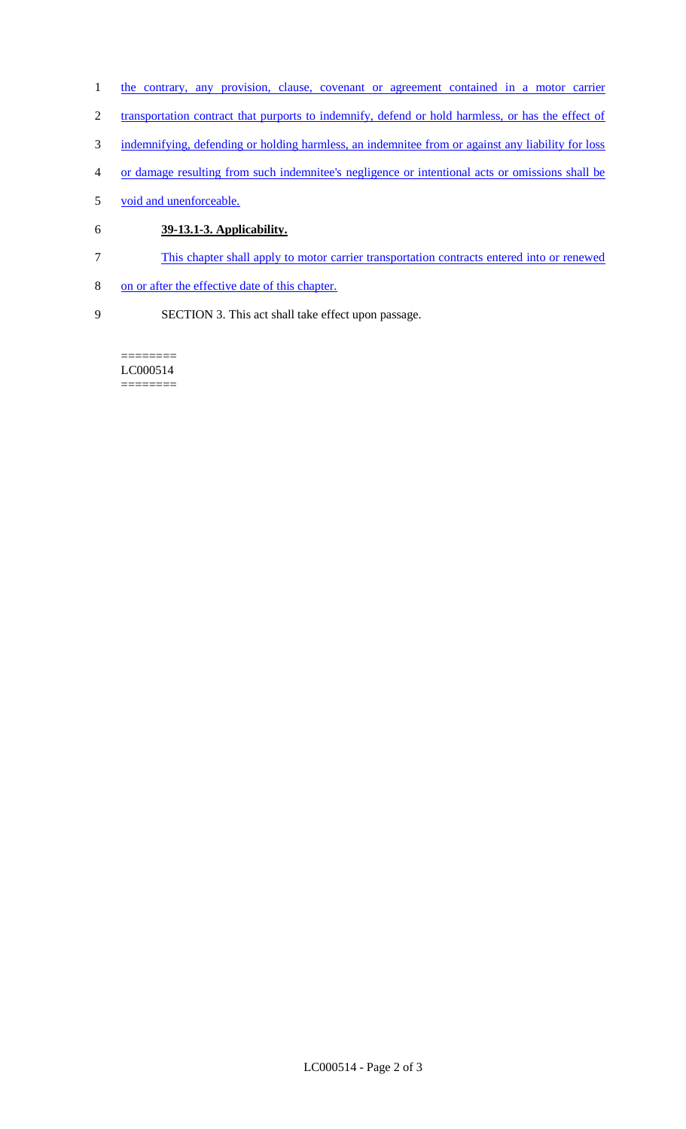- 1 the contrary, any provision, clause, covenant or agreement contained in a motor carrier
- 2 transportation contract that purports to indemnify, defend or hold harmless, or has the effect of
- 3 indemnifying, defending or holding harmless, an indemnitee from or against any liability for loss
- 4 or damage resulting from such indemnitee's negligence or intentional acts or omissions shall be
- 5 void and unenforceable.
- 6 **39-13.1-3. Applicability.**
- 7 This chapter shall apply to motor carrier transportation contracts entered into or renewed
- 8 on or after the effective date of this chapter.
- 9 SECTION 3. This act shall take effect upon passage.

======== LC000514 ========